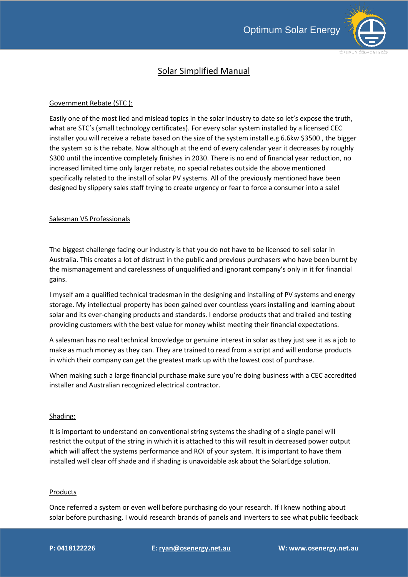

# Solar Simplified Manual

## Government Rebate (STC ):

Easily one of the most lied and mislead topics in the solar industry to date so let's expose the truth, what are STC's (small technology certificates). For every solar system installed by a licensed CEC installer you will receive a rebate based on the size of the system install e.g 6.6kw \$3500 , the bigger the system so is the rebate. Now although at the end of every calendar year it decreases by roughly \$300 until the incentive completely finishes in 2030. There is no end of financial year reduction, no increased limited time only larger rebate, no special rebates outside the above mentioned specifically related to the install of solar PV systems. All of the previously mentioned have been designed by slippery sales staff trying to create urgency or fear to force a consumer into a sale!

### Salesman VS Professionals

The biggest challenge facing our industry is that you do not have to be licensed to sell solar in Australia. This creates a lot of distrust in the public and previous purchasers who have been burnt by the mismanagement and carelessness of unqualified and ignorant company's only in it for financial gains.

I myself am a qualified technical tradesman in the designing and installing of PV systems and energy storage. My intellectual property has been gained over countless years installing and learning about solar and its ever-changing products and standards. I endorse products that and trailed and testing providing customers with the best value for money whilst meeting their financial expectations.

A salesman has no real technical knowledge or genuine interest in solar as they just see it as a job to make as much money as they can. They are trained to read from a script and will endorse products in which their company can get the greatest mark up with the lowest cost of purchase.

When making such a large financial purchase make sure you're doing business with a CEC accredited installer and Australian recognized electrical contractor.

### Shading:

It is important to understand on conventional string systems the shading of a single panel will restrict the output of the string in which it is attached to this will result in decreased power output which will affect the systems performance and ROI of your system. It is important to have them installed well clear off shade and if shading is unavoidable ask about the SolarEdge solution.

### Products

Once referred a system or even well before purchasing do your research. If I knew nothing about solar before purchasing, I would research brands of panels and inverters to see what public feedback